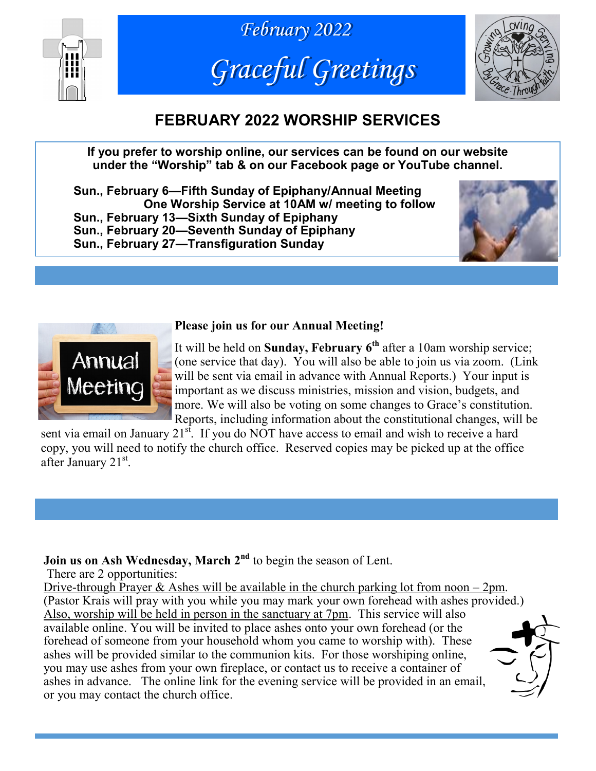





# **FEBRUARY 2022 WORSHIP SERVICES**

**If you prefer to worship online, our services can be found on our website under the "Worship" tab & on our Facebook page or YouTube channel.**

**Sun., February 6—Fifth Sunday of Epiphany/Annual Meeting One Worship Service at 10AM w/ meeting to follow Sun., February 13—Sixth Sunday of Epiphany Sun., February 20—Seventh Sunday of Epiphany Sun., February 27—Transfiguration Sunday**





#### **Please join us for our Annual Meeting!**

It will be held on **Sunday, February 6th** after a 10am worship service; (one service that day). You will also be able to join us via zoom. (Link will be sent via email in advance with Annual Reports.) Your input is important as we discuss ministries, mission and vision, budgets, and more. We will also be voting on some changes to Grace's constitution. Reports, including information about the constitutional changes, will be

sent via email on January  $21^{st}$ . If you do NOT have access to email and wish to receive a hard copy, you will need to notify the church office. Reserved copies may be picked up at the office after January 21<sup>st</sup>.

## **Join us on Ash Wednesday, March 2nd** to begin the season of Lent.

There are 2 opportunities:

Drive-through Prayer & Ashes will be available in the church parking lot from noon  $-2$  pm. (Pastor Krais will pray with you while you may mark your own forehead with ashes provided.) Also, worship will be held in person in the sanctuary at 7pm. This service will also available online. You will be invited to place ashes onto your own forehead (or the forehead of someone from your household whom you came to worship with). These ashes will be provided similar to the communion kits. For those worshiping online, you may use ashes from your own fireplace, or contact us to receive a container of ashes in advance. The online link for the evening service will be provided in an email, or you may contact the church office.

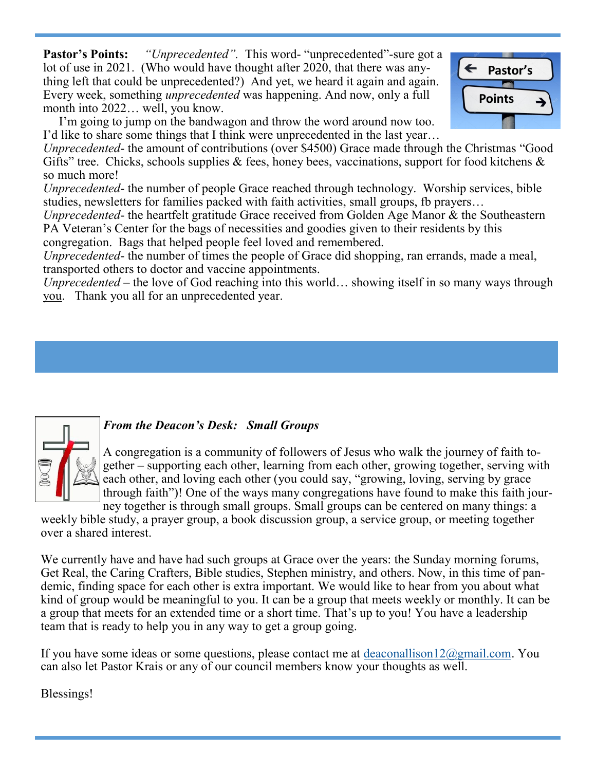**Pastor's Points:** *"Unprecedented".* This word- "unprecedented"-sure got a lot of use in 2021. (Who would have thought after 2020, that there was anything left that could be unprecedented?) And yet, we heard it again and again. Every week, something *unprecedented* was happening. And now, only a full month into 2022… well, you know.

 I'm going to jump on the bandwagon and throw the word around now too. I'd like to share some things that I think were unprecedented in the last year…

*Unprecedented*- the amount of contributions (over \$4500) Grace made through the Christmas "Good Gifts" tree. Chicks, schools supplies  $\&$  fees, honey bees, vaccinations, support for food kitchens  $\&$ so much more!

*Unprecedented*- the number of people Grace reached through technology. Worship services, bible studies, newsletters for families packed with faith activities, small groups, fb prayers…

*Unprecedented*- the heartfelt gratitude Grace received from Golden Age Manor & the Southeastern PA Veteran's Center for the bags of necessities and goodies given to their residents by this congregation. Bags that helped people feel loved and remembered.

*Unprecedented*- the number of times the people of Grace did shopping, ran errands, made a meal, transported others to doctor and vaccine appointments.

*Unprecedented* – the love of God reaching into this world… showing itself in so many ways through you. Thank you all for an unprecedented year.



#### *From the Deacon's Desk: Small Groups*

A congregation is a community of followers of Jesus who walk the journey of faith together – supporting each other, learning from each other, growing together, serving with each other, and loving each other (you could say, "growing, loving, serving by grace through faith")! One of the ways many congregations have found to make this faith jour-

ney together is through small groups. Small groups can be centered on many things: a weekly bible study, a prayer group, a book discussion group, a service group, or meeting together over a shared interest.

We currently have and have had such groups at Grace over the years: the Sunday morning forums, Get Real, the Caring Crafters, Bible studies, Stephen ministry, and others. Now, in this time of pandemic, finding space for each other is extra important. We would like to hear from you about what kind of group would be meaningful to you. It can be a group that meets weekly or monthly. It can be a group that meets for an extended time or a short time. That's up to you! You have a leadership team that is ready to help you in any way to get a group going.

If you have some ideas or some questions, please contact me at [deaconallison12@gmail.com.](mailto:deaconallison12@gmail.com) You can also let Pastor Krais or any of our council members know your thoughts as well.

Blessings!

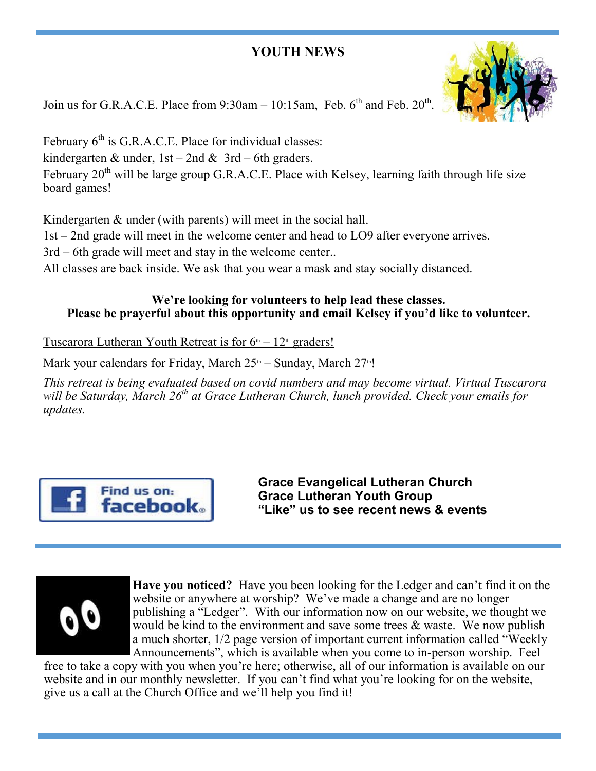## **YOUTH NEWS**



Join us for G.R.A.C.E. Place from  $9:30$ am  $-10:15$ am, Feb. 6<sup>th</sup> and Feb.  $20<sup>th</sup>$ .

February  $6<sup>th</sup>$  is G.R.A.C.E. Place for individual classes: kindergarten & under,  $1st - 2nd$  &  $3rd - 6th$  graders. February  $20^{th}$  will be large group G.R.A.C.E. Place with Kelsey, learning faith through life size board games!

Kindergarten & under (with parents) will meet in the social hall.

1st – 2nd grade will meet in the welcome center and head to LO9 after everyone arrives.

3rd – 6th grade will meet and stay in the welcome center..

All classes are back inside. We ask that you wear a mask and stay socially distanced.

#### **We're looking for volunteers to help lead these classes. Please be prayerful about this opportunity and email Kelsey if you'd like to volunteer.**

Tuscarora Lutheran Youth Retreat is for  $6<sup>th</sup> - 12<sup>th</sup>$  graders!

Mark your calendars for Friday, March  $25<sup>th</sup>$  – Sunday, March  $27<sup>th</sup>$ !

*This retreat is being evaluated based on covid numbers and may become virtual. Virtual Tuscarora will be Saturday, March 26th at Grace Lutheran Church, lunch provided. Check your emails for updates.*



**Grace Evangelical Lutheran Church Grace Lutheran Youth Group "Like" us to see recent news & events**



**Have you noticed?** Have you been looking for the Ledger and can't find it on the website or anywhere at worship? We've made a change and are no longer publishing a "Ledger". With our information now on our website, we thought we would be kind to the environment and save some trees  $\&$  waste. We now publish a much shorter, 1/2 page version of important current information called "Weekly Announcements", which is available when you come to in-person worship. Feel

free to take a copy with you when you're here; otherwise, all of our information is available on our website and in our monthly newsletter. If you can't find what you're looking for on the website, give us a call at the Church Office and we'll help you find it!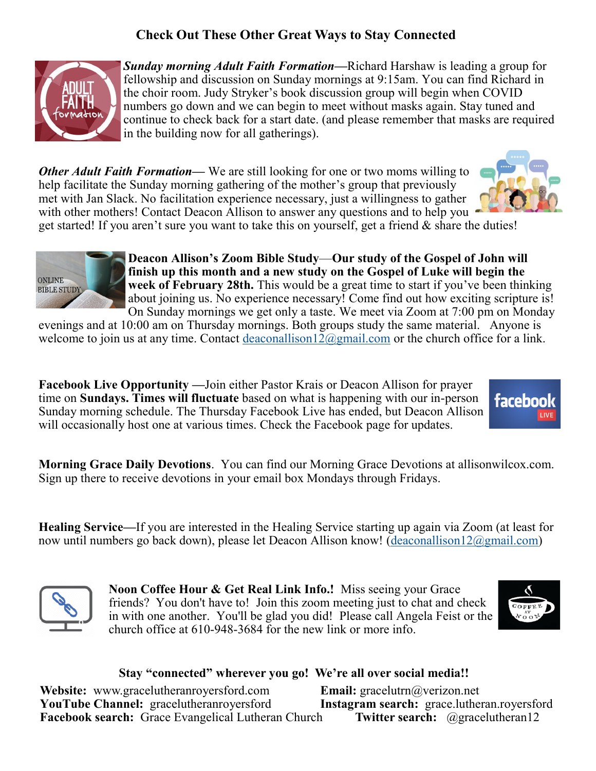## **Check Out These Other Great Ways to Stay Connected**



*Sunday morning Adult Faith Formation—*Richard Harshaw is leading a group for fellowship and discussion on Sunday mornings at 9:15am. You can find Richard in the choir room. Judy Stryker's book discussion group will begin when COVID numbers go down and we can begin to meet without masks again. Stay tuned and continue to check back for a start date. (and please remember that masks are required in the building now for all gatherings).

*Other Adult Faith Formation—* We are still looking for one or two moms willing to help facilitate the Sunday morning gathering of the mother's group that previously met with Jan Slack. No facilitation experience necessary, just a willingness to gather with other mothers! Contact Deacon Allison to answer any questions and to help you



get started! If you aren't sure you want to take this on yourself, get a friend  $\&$  share the duties!



**Deacon Allison's Zoom Bible Study**—**Our study of the Gospel of John will finish up this month and a new study on the Gospel of Luke will begin the week of February 28th.** This would be a great time to start if you've been thinking about joining us. No experience necessary! Come find out how exciting scripture is! On Sunday mornings we get only a taste. We meet via Zoom at 7:00 pm on Monday

evenings and at 10:00 am on Thursday mornings. Both groups study the same material. Anyone is welcome to join us at any time. Contact [deaconallison12@gmail.com](mailto:deaconallison12@gmail.com) or the church office for a link.

**Facebook Live Opportunity —**Join either Pastor Krais or Deacon Allison for prayer time on **Sundays. Times will fluctuate** based on what is happening with our in-person Sunday morning schedule. The Thursday Facebook Live has ended, but Deacon Allison will occasionally host one at various times. Check the Facebook page for updates.



**Morning Grace Daily Devotions**. You can find our Morning Grace Devotions at allisonwilcox.com. Sign up there to receive devotions in your email box Mondays through Fridays.

**Healing Service***—*If you are interested in the Healing Service starting up again via Zoom (at least for now until numbers go back down), please let Deacon Allison know! ([deaconallison12@gmail.com\)](mailto:deaconallison12@gmail.com)



**Noon Coffee Hour & Get Real Link Info.!** Miss seeing your Grace friends? You don't have to! Join this zoom meeting just to chat and check in with one another. You'll be glad you did! Please call Angela Feist or the church office at 610-948-3684 for the new link or more info.



#### **Stay "connected" wherever you go! We're all over social media!!**

**Website:** www.gracelutheranroyersford.com **Email:** gracelutrn@verizon.net<br>**YouTube Channel:** gracelutheranroyersford **Instagram search:** grace.lutheran.royersford YouTube Channel: gracelutheranroyersford **Facebook search:** Grace Evangelical Lutheran Church **Twitter search:** @gracelutheran12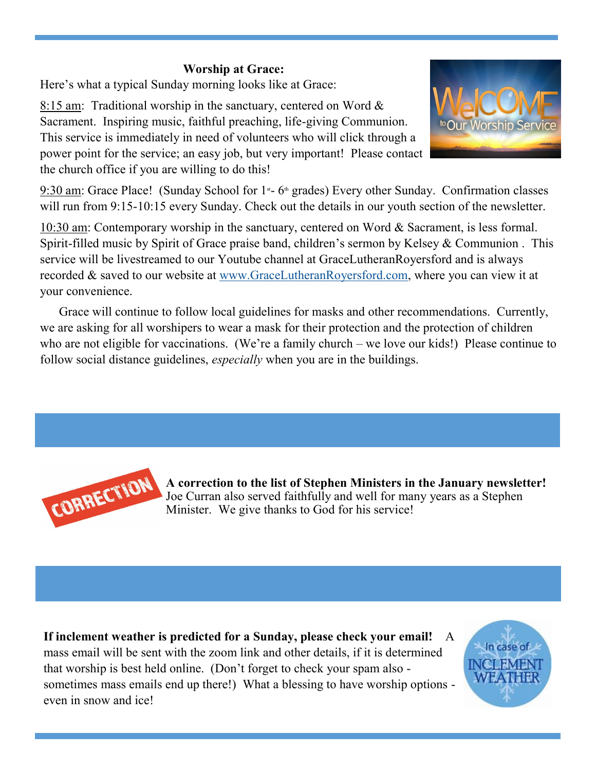## **Worship at Grace:**

Here's what a typical Sunday morning looks like at Grace:

8:15 am: Traditional worship in the sanctuary, centered on Word & Sacrament. Inspiring music, faithful preaching, life-giving Communion. This service is immediately in need of volunteers who will click through a power point for the service; an easy job, but very important! Please contact the church office if you are willing to do this!



 $9:30$  am: Grace Place! (Sunday School for 1<sup>st</sup>- 6<sup>th</sup> grades) Every other Sunday. Confirmation classes will run from 9:15-10:15 every Sunday. Check out the details in our youth section of the newsletter.

10:30 am: Contemporary worship in the sanctuary, centered on Word & Sacrament, is less formal. Spirit-filled music by Spirit of Grace praise band, children's sermon by Kelsey & Communion . This service will be livestreamed to our Youtube channel at GraceLutheranRoyersford and is always recorded & saved to our website at [www.GraceLutheranRoyersford.com,](http://www.GraceLutheranRoyersford.com) where you can view it at your convenience.

 Grace will continue to follow local guidelines for masks and other recommendations. Currently, we are asking for all worshipers to wear a mask for their protection and the protection of children who are not eligible for vaccinations. (We're a family church – we love our kids!) Please continue to follow social distance guidelines, *especially* when you are in the buildings.



**A correction to the list of Stephen Ministers in the January newsletter!**  Joe Curran also served faithfully and well for many years as a Stephen Minister. We give thanks to God for his service!

**If inclement weather is predicted for a Sunday, please check your email!** A mass email will be sent with the zoom link and other details, if it is determined that worship is best held online. (Don't forget to check your spam also sometimes mass emails end up there!) What a blessing to have worship options even in snow and ice!